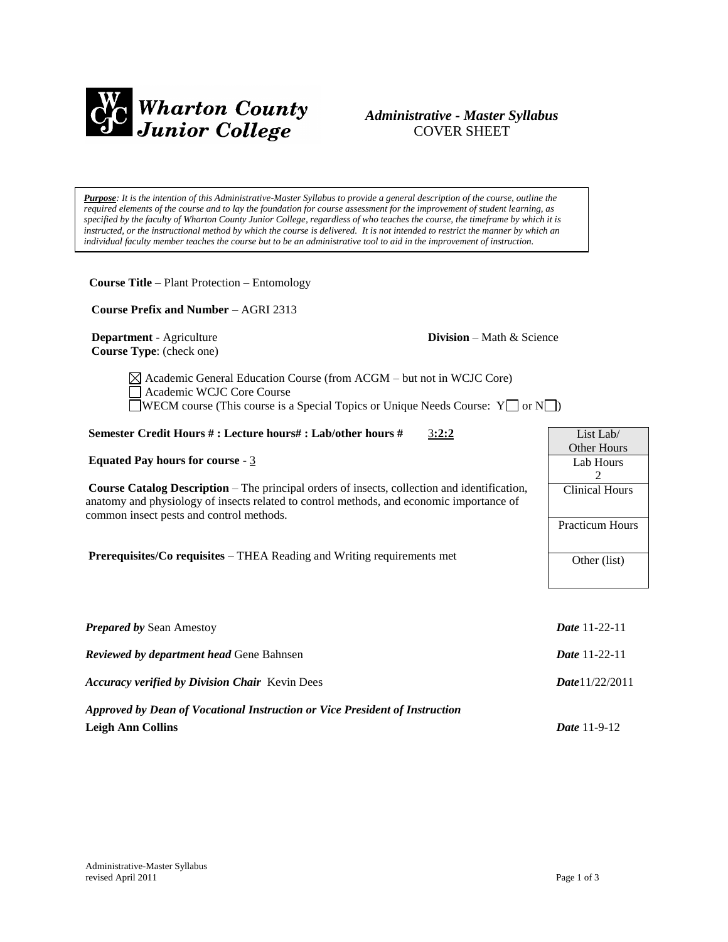

# *Administrative - Master Syllabus*  COVER SHEET

*Purpose: It is the intention of this Administrative-Master Syllabus to provide a general description of the course, outline the required elements of the course and to lay the foundation for course assessment for the improvement of student learning, as specified by the faculty of Wharton County Junior College, regardless of who teaches the course, the timeframe by which it is instructed, or the instructional method by which the course is delivered. It is not intended to restrict the manner by which an individual faculty member teaches the course but to be an administrative tool to aid in the improvement of instruction.*

**Course Title** – Plant Protection – Entomology

 **Course Prefix and Number** – AGRI 2313

**Department** - Agriculture **Division** – Math & Science  **Course Type**: (check one)

 $\boxtimes$  Academic General Education Course (from ACGM – but not in WCJC Core) Academic WCJC Core Course WECM course (This course is a Special Topics or Unique Needs Course:  $Y \Box$  or  $N \Box$ )

#### **Semester Credit Hours # : Lecture hours# : Lab/other hours #** 3**:2:2**

**Equated Pay hours for course** - 3

**Course Catalog Description** – The principal orders of insects, collection and identification, anatomy and physiology of insects related to control methods, and economic importance of common insect pests and control methods.

**Prerequisites/Co requisites** – THEA Reading and Writing requirements met

| <b>Prepared by Sean Amestoy</b>                                             | <b>Date</b> 11-22-11 |
|-----------------------------------------------------------------------------|----------------------|
| <b>Reviewed by department head Gene Bahnsen</b>                             | <b>Date</b> 11-22-11 |
| <b>Accuracy verified by Division Chair</b> Kevin Dees                       | Date $1/22/2011$     |
| Approved by Dean of Vocational Instruction or Vice President of Instruction |                      |
| <b>Leigh Ann Collins</b>                                                    | <b>Date</b> 11-9-12  |

List Lab/ Other Hours Lab Hours 2 Clinical Hours

Practicum Hours

Other (list)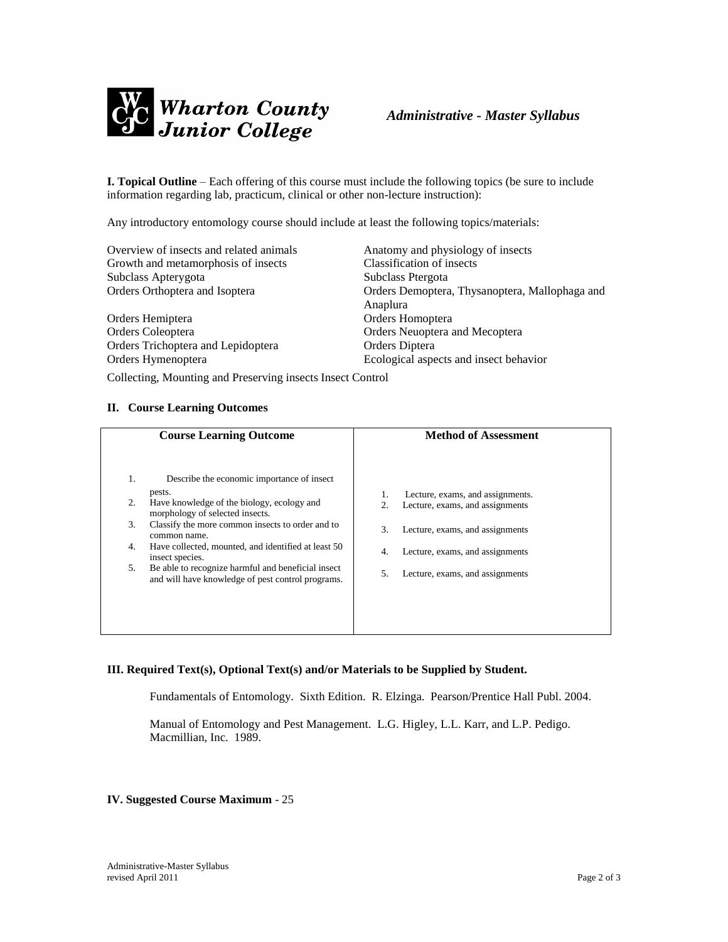

**I. Topical Outline** – Each offering of this course must include the following topics (be sure to include information regarding lab, practicum, clinical or other non-lecture instruction):

Any introductory entomology course should include at least the following topics/materials:

| Overview of insects and related animals | Anatomy and physiology of insects                          |
|-----------------------------------------|------------------------------------------------------------|
| Growth and metamorphosis of insects     | Classification of insects                                  |
| Subclass Apterygota                     | Subclass Ptergota                                          |
| Orders Orthoptera and Isoptera          | Orders Demoptera, Thysanoptera, Mallophaga and<br>Anaplura |
| Orders Hemiptera                        | Orders Homoptera                                           |
| Orders Coleoptera                       | Orders Neuoptera and Mecoptera                             |
| Orders Trichoptera and Lepidoptera      | Orders Diptera                                             |
| Orders Hymenoptera                      | Ecological aspects and insect behavior                     |

Collecting, Mounting and Preserving insects Insect Control

## **II. Course Learning Outcomes**

|    | <b>Course Learning Outcome</b>                                                                          | <b>Method of Assessment</b>           |
|----|---------------------------------------------------------------------------------------------------------|---------------------------------------|
| 1. | Describe the economic importance of insect                                                              |                                       |
|    | pests.                                                                                                  | Lecture, exams, and assignments.      |
| 2. | Have knowledge of the biology, ecology and<br>morphology of selected insects.                           | Lecture, exams, and assignments<br>2. |
| 3. | Classify the more common insects to order and to<br>common name.                                        | 3.<br>Lecture, exams, and assignments |
| 4. | Have collected, mounted, and identified at least 50<br>insect species.                                  | Lecture, exams, and assignments<br>4. |
| 5. | Be able to recognize harmful and beneficial insect<br>and will have knowledge of pest control programs. | Lecture, exams, and assignments<br>5. |
|    |                                                                                                         |                                       |
|    |                                                                                                         |                                       |
|    |                                                                                                         |                                       |

#### **III. Required Text(s), Optional Text(s) and/or Materials to be Supplied by Student.**

Fundamentals of Entomology. Sixth Edition. R. Elzinga. Pearson/Prentice Hall Publ. 2004.

Manual of Entomology and Pest Management. L.G. Higley, L.L. Karr, and L.P. Pedigo. Macmillian, Inc. 1989.

**IV. Suggested Course Maximum** - 25